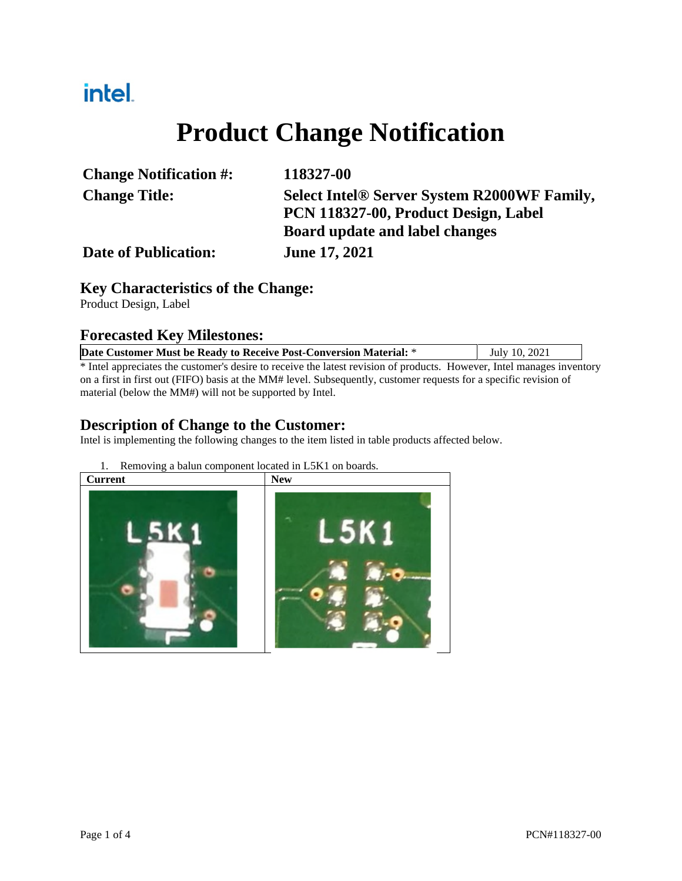# intel.

# **Product Change Notification**

| <b>Change Notification #:</b> | 118327-00                                   |  |
|-------------------------------|---------------------------------------------|--|
| <b>Change Title:</b>          | Select Intel® Server System R2000WF Family, |  |
|                               | PCN 118327-00, Product Design, Label        |  |
|                               | Board update and label changes              |  |
| <b>Date of Publication:</b>   | <b>June 17, 2021</b>                        |  |

#### **Key Characteristics of the Change:**

Product Design, Label

#### **Forecasted Key Milestones:**

| Date Customer Must be Ready to Receive Post-Conversion Material: *                                                     | July 10, 2021 |  |  |  |  |
|------------------------------------------------------------------------------------------------------------------------|---------------|--|--|--|--|
| * Intel appreciates the customer's desire to receive the latest revision of products. However, Intel manages inventory |               |  |  |  |  |
| on a first in first out (FIFO) basis at the MM# level. Subsequently, customer requests for a specific revision of      |               |  |  |  |  |

material (below the MM#) will not be supported by Intel.

#### **Description of Change to the Customer:**

Intel is implementing the following changes to the item listed in table products affected below.

1. Removing a balun component located in L5K1 on boards.

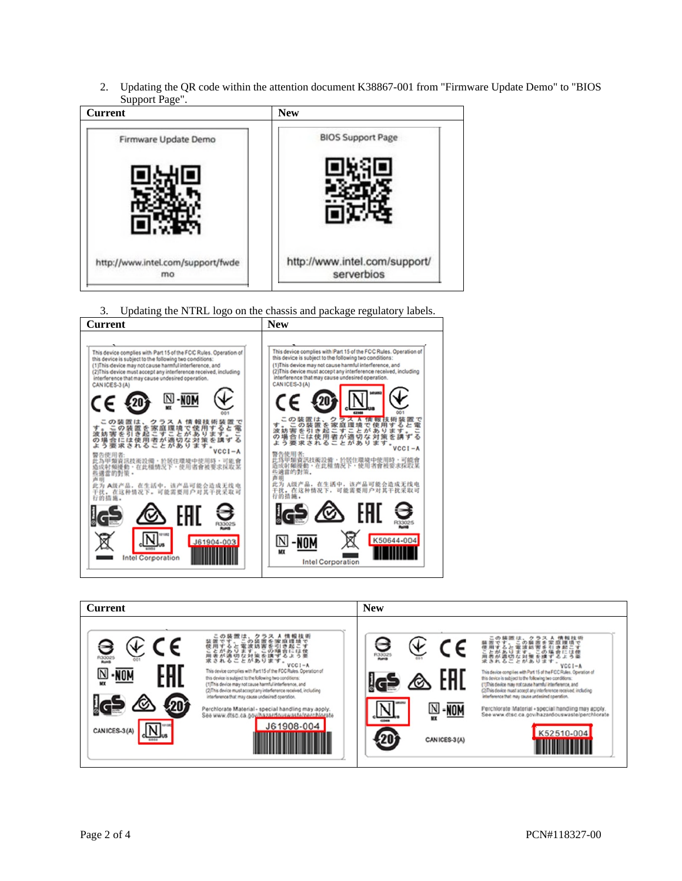2. Updating the QR code within the attention document K38867-001 from "Firmware Update Demo" to "BIOS Support Page".



3. Updating the NTRL logo on the chassis and package regulatory labels.



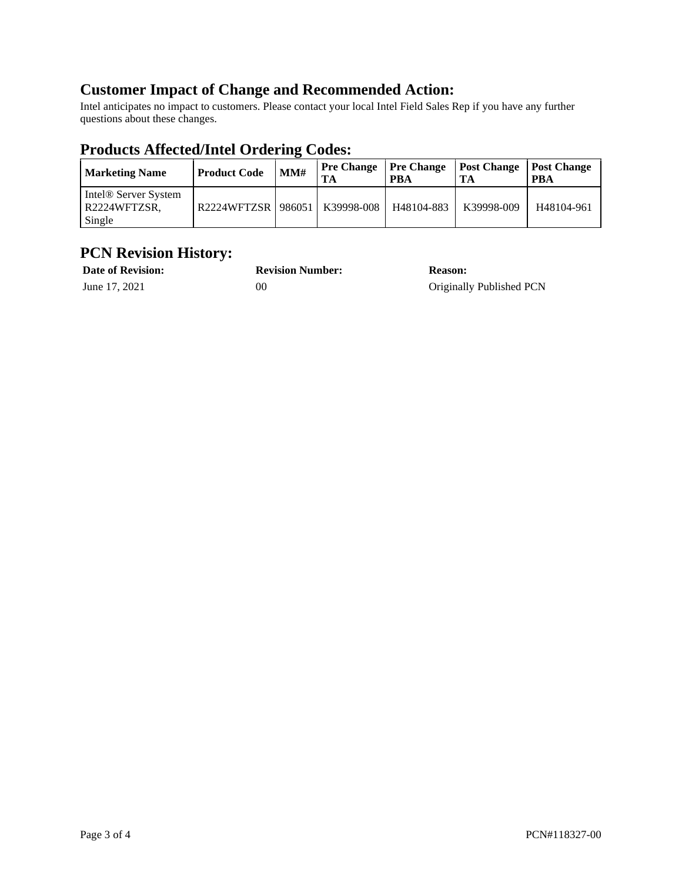## **Customer Impact of Change and Recommended Action:**

Intel anticipates no impact to customers. Please contact your local Intel Field Sales Rep if you have any further questions about these changes.

## **Products Affected/Intel Ordering Codes:**

| <b>Marketing Name</b>                                      | <b>Product Code</b>  | MM# | <b>Pre Change</b><br>TА | <b>Pre Change</b><br>PBA | <b>Post Change</b><br>TA | <b>Post Change</b><br><b>PBA</b> |
|------------------------------------------------------------|----------------------|-----|-------------------------|--------------------------|--------------------------|----------------------------------|
| Intel <sup>®</sup> Server System<br>R2224WFTZSR.<br>Single | R2224WFTZSR   986051 |     | K39998-008              | H48104-883               | K39998-009               | H48104-961                       |

## **PCN Revision History:**

| <b>Date of Revision:</b> | <b>Revision Number:</b> | <b>Reason:</b>           |
|--------------------------|-------------------------|--------------------------|
| June 17, 2021            | OC                      | Originally Published PCN |